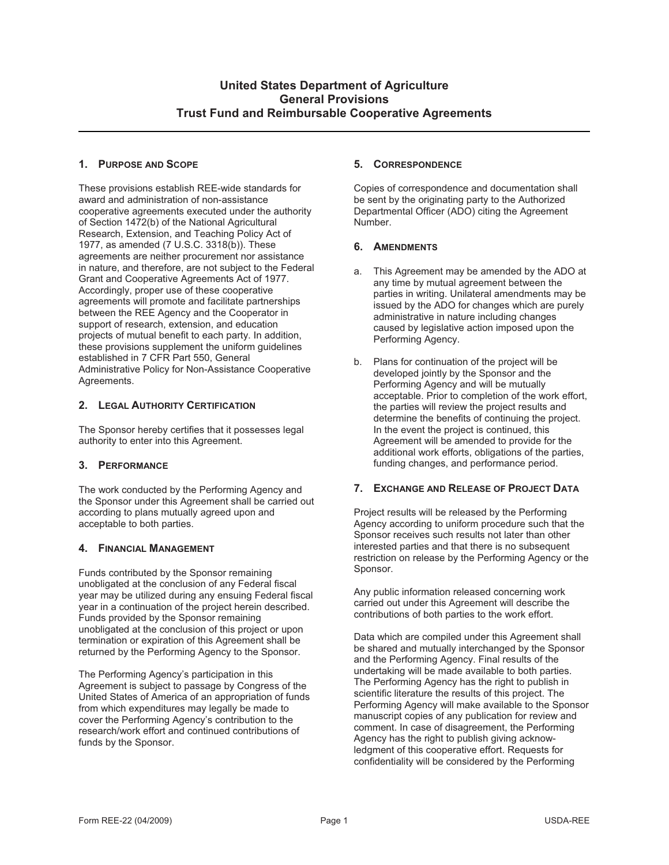## **1. PURPOSE AND SCOPE**

These provisions establish REE-wide standards for award and administration of non-assistance cooperative agreements executed under the authority of Section 1472(b) of the National Agricultural Research, Extension, and Teaching Policy Act of 1977, as amended (7 U.S.C. 3318(b)). These agreements are neither procurement nor assistance in nature, and therefore, are not subject to the Federal Grant and Cooperative Agreements Act of 1977. Accordingly, proper use of these cooperative agreements will promote and facilitate partnerships between the REE Agency and the Cooperator in support of research, extension, and education projects of mutual benefit to each party. In addition, these provisions supplement the uniform guidelines established in 7 CFR Part 550, General Administrative Policy for Non-Assistance Cooperative Agreements.

## **2. LEGAL AUTHORITY CERTIFICATION**

The Sponsor hereby certifies that it possesses legal authority to enter into this Agreement.

# **3. PERFORMANCE**

The work conducted by the Performing Agency and the Sponsor under this Agreement shall be carried out according to plans mutually agreed upon and acceptable to both parties.

# **4. FINANCIAL MANAGEMENT**

Funds contributed by the Sponsor remaining unobligated at the conclusion of any Federal fiscal year may be utilized during any ensuing Federal fiscal year in a continuation of the project herein described. Funds provided by the Sponsor remaining unobligated at the conclusion of this project or upon termination or expiration of this Agreement shall be returned by the Performing Agency to the Sponsor.

The Performing Agency's participation in this Agreement is subject to passage by Congress of the United States of America of an appropriation of funds from which expenditures may legally be made to cover the Performing Agency's contribution to the research/work effort and continued contributions of funds by the Sponsor.

## **5. CORRESPONDENCE**

Copies of correspondence and documentation shall be sent by the originating party to the Authorized Departmental Officer (ADO) citing the Agreement Number.

## **6. AMENDMENTS**

- a. This Agreement may be amended by the ADO at any time by mutual agreement between the parties in writing. Unilateral amendments may be issued by the ADO for changes which are purely administrative in nature including changes caused by legislative action imposed upon the Performing Agency.
- b. Plans for continuation of the project will be developed jointly by the Sponsor and the Performing Agency and will be mutually acceptable. Prior to completion of the work effort, the parties will review the project results and determine the benefits of continuing the project. In the event the project is continued, this Agreement will be amended to provide for the additional work efforts, obligations of the parties, funding changes, and performance period.

## **7. EXCHANGE AND RELEASE OF PROJECT DATA**

Project results will be released by the Performing Agency according to uniform procedure such that the Sponsor receives such results not later than other interested parties and that there is no subsequent restriction on release by the Performing Agency or the Sponsor.

Any public information released concerning work carried out under this Agreement will describe the contributions of both parties to the work effort.

Data which are compiled under this Agreement shall be shared and mutually interchanged by the Sponsor and the Performing Agency. Final results of the undertaking will be made available to both parties. The Performing Agency has the right to publish in scientific literature the results of this project. The Performing Agency will make available to the Sponsor manuscript copies of any publication for review and comment. In case of disagreement, the Performing Agency has the right to publish giving acknowledgment of this cooperative effort. Requests for confidentiality will be considered by the Performing